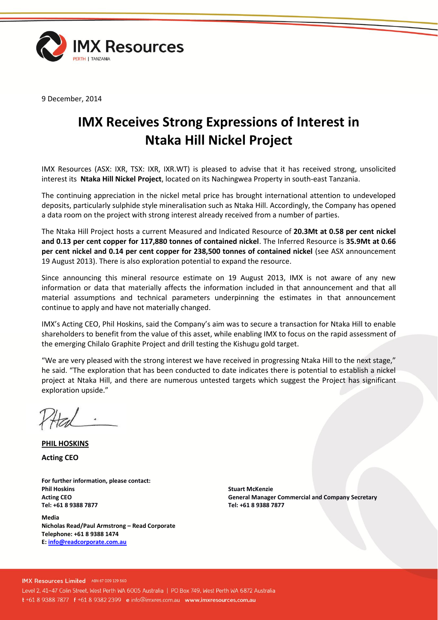

9 December, 2014

## **IMX Receives Strong Expressions of Interest in Ntaka Hill Nickel Project**

IMX Resources (ASX: IXR, TSX: IXR, IXR.WT) is pleased to advise that it has received strong, unsolicited interest its **Ntaka Hill Nickel Project**, located on its Nachingwea Property in south-east Tanzania.

The continuing appreciation in the nickel metal price has brought international attention to undeveloped deposits, particularly sulphide style mineralisation such as Ntaka Hill. Accordingly, the Company has opened a data room on the project with strong interest already received from a number of parties.

The Ntaka Hill Project hosts a current Measured and Indicated Resource of **20.3Mt at 0.58 per cent nickel and 0.13 per cent copper for 117,880 tonnes of contained nickel**. The Inferred Resource is **35.9Mt at 0.66 per cent nickel and 0.14 per cent copper for 238,500 tonnes of contained nickel** (see ASX announcement 19 August 2013). There is also exploration potential to expand the resource.

Since announcing this mineral resource estimate on 19 August 2013, IMX is not aware of any new information or data that materially affects the information included in that announcement and that all material assumptions and technical parameters underpinning the estimates in that announcement continue to apply and have not materially changed.

IMX's Acting CEO, Phil Hoskins, said the Company's aim was to secure a transaction for Ntaka Hill to enable shareholders to benefit from the value of this asset, while enabling IMX to focus on the rapid assessment of the emerging Chilalo Graphite Project and drill testing the Kishugu gold target.

"We are very pleased with the strong interest we have received in progressing Ntaka Hill to the next stage," he said. "The exploration that has been conducted to date indicates there is potential to establish a nickel project at Ntaka Hill, and there are numerous untested targets which suggest the Project has significant exploration upside."

**PHIL HOSKINS Acting CEO**

**For further information, please contact: Phil Hoskins Acting CEO Tel: +61 8 9388 7877**

**Media Nicholas Read/Paul Armstrong – Read Corporate Telephone: +61 8 9388 1474 E[: info@readcorporate.com.au](mailto:info@readcorporate.com.au)**

**Stuart McKenzie General Manager Commercial and Company Secretary Tel: +61 8 9388 7877**